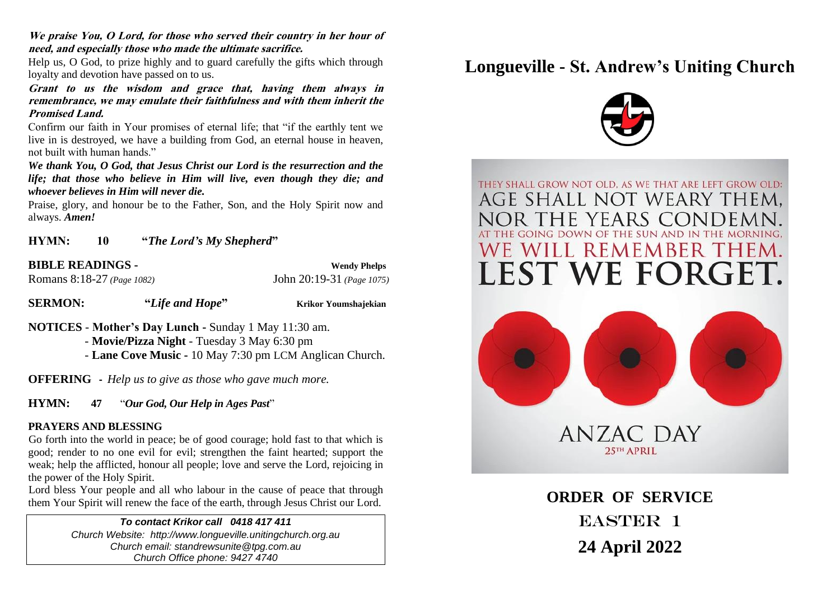**We praise You, O Lord, for those who served their country in her hour of need, and especially those who made the ultimate sacrifice.**

Help us, O God, to prize highly and to guard carefully the gifts which through loyalty and devotion have passed on to us.

**Grant to us the wisdom and grace that, having them always in remembrance, we may emulate their faithfulness and with them inherit the Promised Land.**

Confirm our faith in Your promises of eternal life; that "if the earthly tent we live in is destroyed, we have a building from God, an eternal house in heaven, not built with human hands."

*We thank You, O God, that Jesus Christ our Lord is the resurrection and the life; that those who believe in Him will live, even though they die; and whoever believes in Him will never die.*

Praise, glory, and honour be to the Father, Son, and the Holy Spirit now and always. *Amen!*

**HYMN: 10 "***The Lord's My Shepherd***"**

**BIBLE READINGS - Wendy Phelps** Romans 8:18-27 *(Page 1082)* John 20:19-31 *(Page 1075)*

**SERMON: "***Life and Hope***" Krikor Youmshajekian**

**NOTICES** - **Mother's Day Lunch -** Sunday 1 May 11:30 am.

- **Movie/Pizza Night** - Tuesday 3 May 6:30 pm

- **Lane Cove Music -** 10 May 7:30 pm LCM Anglican Church.

**OFFERING -** *Help us to give as those who gave much more.*

**HYMN: 47** "*Our God, Our Help in Ages Past*"

#### **PRAYERS AND BLESSING**

Go forth into the world in peace; be of good courage; hold fast to that which is good; render to no one evil for evil; strengthen the faint hearted; support the weak; help the afflicted, honour all people; love and serve the Lord, rejoicing in the power of the Holy Spirit.

Lord bless Your people and all who labour in the cause of peace that through them Your Spirit will renew the face of the earth, through Jesus Christ our Lord.

> *To contact Krikor call 0418 417 411 Church Website: http://www.longueville.unitingchurch.org.au Church email: standrewsunite@tpg.com.au Church Office phone: 9427 4740*

# **Longueville - St. Andrew's Uniting Church**



THEY SHALL GROW NOT OLD. AS WE THAT ARE LEFT GROW OLD: AGE SHALL NOT WEARY THEM. YEARS CONDE NOR THE **REMEMBER THE** 



**ORDER OF SERVICE** EASTER 1 **24 April 2022**